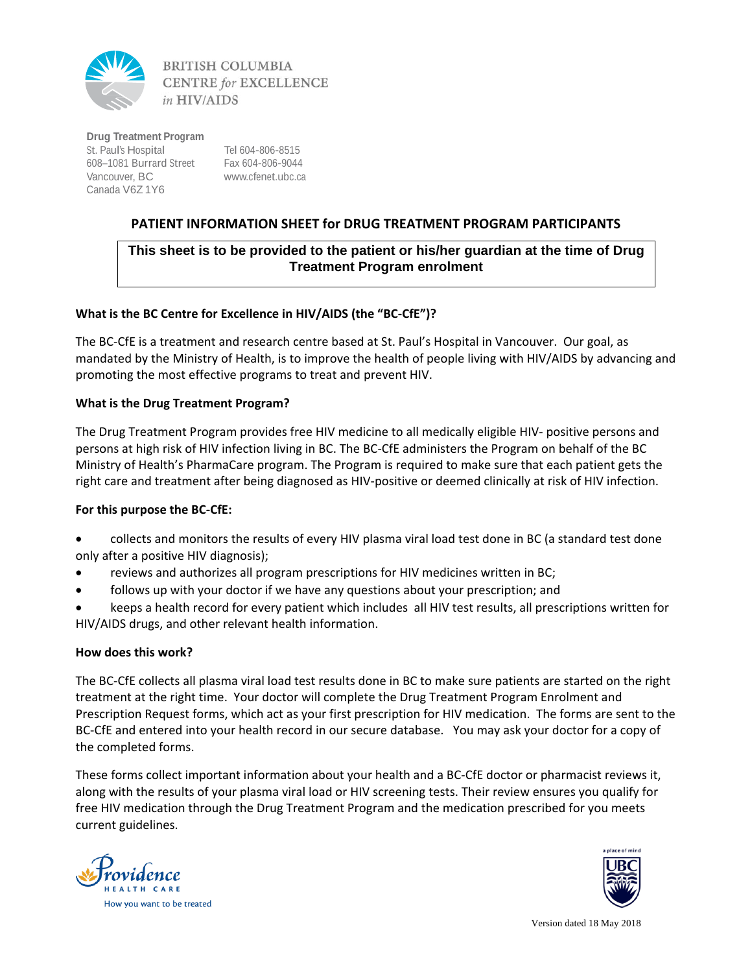

**BRITISH COLUMBIA CENTRE for EXCELLENCE** in HIV/AIDS

**Drug Treatment Program** St. Paul's Hospital 608–1081 Burrard Street Fax 604-806-9044 Vancouver, BC Canada V6Z 1Y6

Tel 604-806-8515 www.cfenet.ubc.ca

# **PATIENT INFORMATION SHEET for DRUG TREATMENT PROGRAM PARTICIPANTS**

# **This sheet is to be provided to the patient or his/her guardian at the time of Drug Treatment Program enrolment**

# **What is the BC Centre for Excellence in HIV/AIDS (the "BC‐CfE")?**

The BC‐CfE is a treatment and research centre based at St. Paul's Hospital in Vancouver. Our goal, as mandated by the Ministry of Health, is to improve the health of people living with HIV/AIDS by advancing and promoting the most effective programs to treat and prevent HIV.

### **What is the Drug Treatment Program?**

The Drug Treatment Program provides free HIV medicine to all medically eligible HIV‐ positive persons and persons at high risk of HIV infection living in BC. The BC‐CfE administers the Program on behalf of the BC Ministry of Health's PharmaCare program. The Program is required to make sure that each patient gets the right care and treatment after being diagnosed as HIV‐positive or deemed clinically at risk of HIV infection.

### **For this purpose the BC‐CfE:**

- collects and monitors the results of every HIV plasma viral load test done in BC (a standard test done only after a positive HIV diagnosis);
- reviews and authorizes all program prescriptions for HIV medicines written in BC;
- follows up with your doctor if we have any questions about your prescription; and
- keeps a health record for every patient which includes all HIV test results, all prescriptions written for HIV/AIDS drugs, and other relevant health information.

#### **How does this work?**

The BC‐CfE collects all plasma viral load test results done in BC to make sure patients are started on the right treatment at the right time. Your doctor will complete the Drug Treatment Program Enrolment and Prescription Request forms, which act as your first prescription for HIV medication. The forms are sent to the BC‐CfE and entered into your health record in our secure database. You may ask your doctor for a copy of the completed forms.

These forms collect important information about your health and a BC‐CfE doctor or pharmacist reviews it, along with the results of your plasma viral load or HIV screening tests. Their review ensures you qualify for free HIV medication through the Drug Treatment Program and the medication prescribed for you meets current guidelines.





 Version dated 18 May 2018